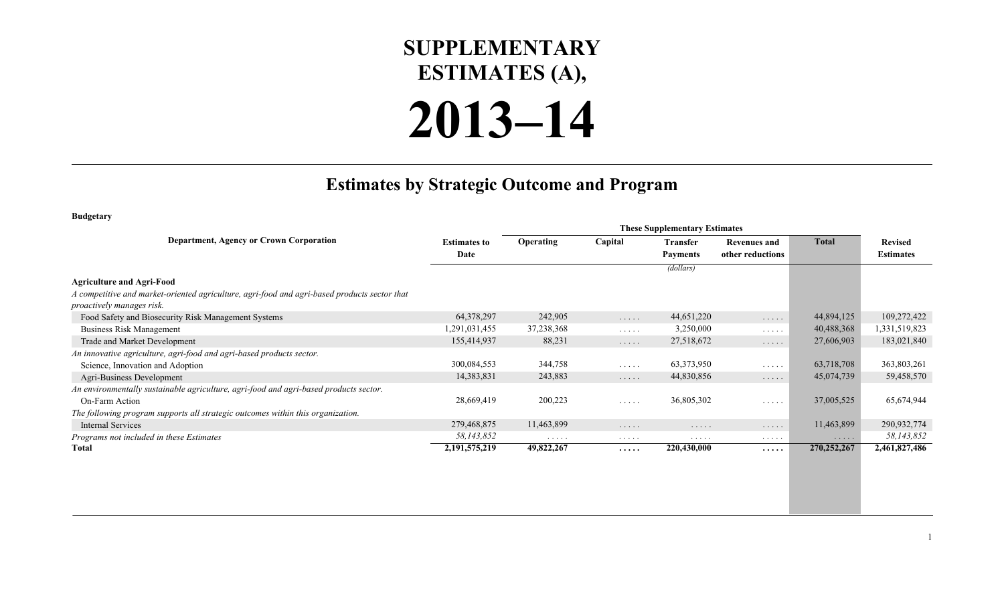## **SUPPLEMENTARY ESTIMATES (A),**

## **2013–14**

## **Estimates by Strategic Outcome and Program**

**Budgetary**

|                                                                                              |                     |                  |                                               | <b>These Supplementary Estimates</b> |                                               |              |                  |
|----------------------------------------------------------------------------------------------|---------------------|------------------|-----------------------------------------------|--------------------------------------|-----------------------------------------------|--------------|------------------|
| <b>Department, Agency or Crown Corporation</b>                                               | <b>Estimates to</b> | <b>Operating</b> | Capital                                       | <b>Transfer</b>                      | <b>Revenues and</b>                           | <b>Total</b> | <b>Revised</b>   |
|                                                                                              | Date                |                  |                                               | <b>Payments</b>                      | other reductions                              |              | <b>Estimates</b> |
|                                                                                              |                     |                  |                                               | (dollars)                            |                                               |              |                  |
| <b>Agriculture and Agri-Food</b>                                                             |                     |                  |                                               |                                      |                                               |              |                  |
| A competitive and market-oriented agriculture, agri-food and agri-based products sector that |                     |                  |                                               |                                      |                                               |              |                  |
| proactively manages risk.                                                                    |                     |                  |                                               |                                      |                                               |              |                  |
| Food Safety and Biosecurity Risk Management Systems                                          | 64, 378, 297        | 242,905          | $\mathbb{Z}^2$ . In the $\mathbb{Z}^2$        | 44,651,220                           | $\cdots\cdots\cdots$                          | 44,894,125   | 109,272,422      |
| <b>Business Risk Management</b>                                                              | ,291,031,455        | 37,238,368       | $\mathbb{Z}^2$ . In the set of $\mathbb{Z}^2$ | 3,250,000                            | $\mathbb{Z}^2$ . In the set of $\mathbb{Z}^2$ | 40,488,368   | 1,331,519,823    |
| Trade and Market Development                                                                 | 155,414,937         | 88,231           | $\mathbb{Z}^2$ . In the $\mathbb{Z}^2$        | 27,518,672                           | $\cdots$                                      | 27,606,903   | 183,021,840      |
| An innovative agriculture, agri-food and agri-based products sector.                         |                     |                  |                                               |                                      |                                               |              |                  |
| Science, Innovation and Adoption                                                             | 300,084,553         | 344,758          | $\mathbb{R}^n$ . In the $\mathbb{R}^n$        | 63,373,950                           | $\cdots$                                      | 63,718,708   | 363,803,261      |
| Agri-Business Development                                                                    | 14,383,831          | 243,883          | .                                             | 44,830,856                           | $\cdots$                                      | 45,074,739   | 59,458,570       |
| An environmentally sustainable agriculture, agri-food and agri-based products sector.        |                     |                  |                                               |                                      |                                               |              |                  |
| On-Farm Action                                                                               | 28,669,419          | 200,223          | $\cdots$                                      | 36,805,302                           | $\sim$ $\sim$ $\sim$ $\sim$ $\sim$            | 37,005,525   | 65,674,944       |
| The following program supports all strategic outcomes within this organization.              |                     |                  |                                               |                                      |                                               |              |                  |
| <b>Internal Services</b>                                                                     | 279,468,875         | 11,463,899       | .                                             | $\cdots$                             | $\cdots\cdots\cdots$                          | 11,463,899   | 290,932,774      |
| Programs not included in these Estimates                                                     | 58,143,852          | $\cdots$         | $\cdots$                                      | .                                    | $\cdots$                                      | $\cdots$     | 58,143,852       |
| <b>Total</b>                                                                                 | 2, 191, 575, 219    | 49,822,267       | .                                             | 220,430,000                          | .                                             | 270,252,267  | 2,461,827,486    |
|                                                                                              |                     |                  |                                               |                                      |                                               |              |                  |
|                                                                                              |                     |                  |                                               |                                      |                                               |              |                  |
|                                                                                              |                     |                  |                                               |                                      |                                               |              |                  |
|                                                                                              |                     |                  |                                               |                                      |                                               |              |                  |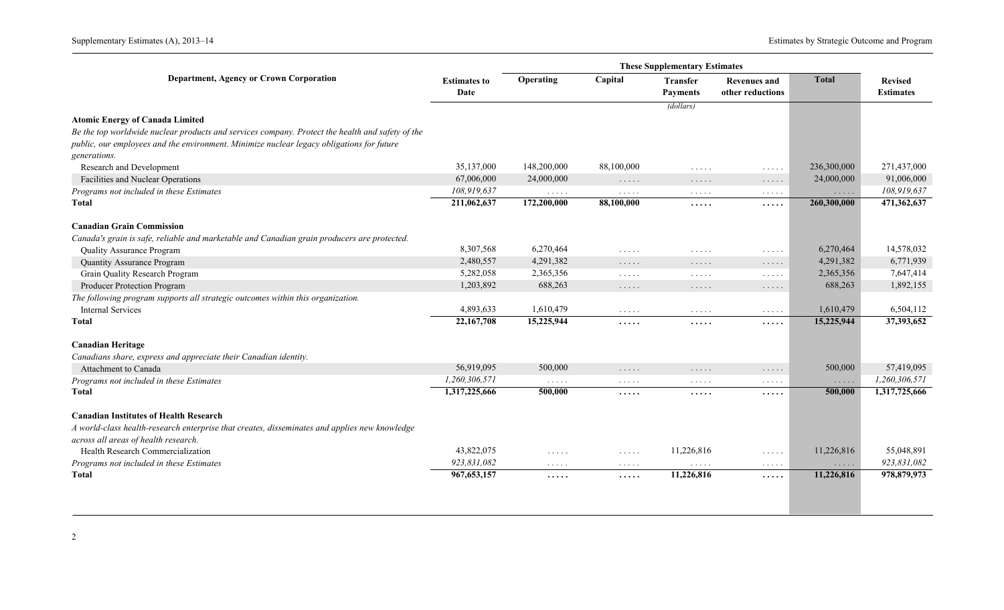|                                                                                                  |                             |                                        |                                                                             | <b>These Supplementary Estimates</b>                             |                                                  |                                           |                                    |
|--------------------------------------------------------------------------------------------------|-----------------------------|----------------------------------------|-----------------------------------------------------------------------------|------------------------------------------------------------------|--------------------------------------------------|-------------------------------------------|------------------------------------|
| <b>Department, Agency or Crown Corporation</b>                                                   | <b>Estimates to</b><br>Date | Operating                              | Capital                                                                     | <b>Transfer</b><br><b>Payments</b>                               | <b>Revenues and</b><br>other reductions          | <b>Total</b>                              | <b>Revised</b><br><b>Estimates</b> |
|                                                                                                  |                             |                                        |                                                                             | (dollars)                                                        |                                                  |                                           |                                    |
| <b>Atomic Energy of Canada Limited</b>                                                           |                             |                                        |                                                                             |                                                                  |                                                  |                                           |                                    |
| Be the top worldwide nuclear products and services company. Protect the health and safety of the |                             |                                        |                                                                             |                                                                  |                                                  |                                           |                                    |
| public, our employees and the environment. Minimize nuclear legacy obligations for future        |                             |                                        |                                                                             |                                                                  |                                                  |                                           |                                    |
| generations.                                                                                     |                             |                                        |                                                                             |                                                                  |                                                  |                                           |                                    |
| Research and Development                                                                         | 35,137,000                  | 148,200,000                            | 88,100,000                                                                  | $\cdot$                                                          | $\sim$ $\sim$ $\sim$ $\sim$ $\sim$               | 236,300,000                               | 271,437,000                        |
| Facilities and Nuclear Operations                                                                | 67,006,000                  | 24,000,000                             | $\sim$ $\sim$ $\sim$ $\sim$ $\sim$                                          | $\dots$                                                          | $\mathbb{Z}^n$ . In the $\mathbb{Z}^n$           | 24,000,000                                | 91,006,000                         |
| Programs not included in these Estimates                                                         | 108,919,637                 | $\mathbb{Z}^2$ . In the $\mathbb{Z}^2$ | $\sim$ $\sim$ $\sim$ $\sim$ $\sim$                                          | $\ldots$                                                         | $\ldots$                                         | $\alpha$ , $\alpha$ , $\alpha$ , $\alpha$ | 108,919,637                        |
| Total                                                                                            | 211,062,637                 | 172,200,000                            | 88,100,000                                                                  | $\cdots$                                                         | .                                                | 260,300,000                               | 471,362,637                        |
| <b>Canadian Grain Commission</b>                                                                 |                             |                                        |                                                                             |                                                                  |                                                  |                                           |                                    |
| Canada's grain is safe, reliable and marketable and Canadian grain producers are protected.      |                             |                                        |                                                                             |                                                                  |                                                  |                                           |                                    |
| Quality Assurance Program                                                                        | 8,307,568                   | 6,270,464                              | $\cdot$                                                                     | 1.1.1.1                                                          | $\sim$ $\sim$ $\sim$ $\sim$ $\sim$               | 6,270,464                                 | 14,578,032                         |
| <b>Quantity Assurance Program</b>                                                                | 2,480,557                   | 4,291,382                              | $\ldots$                                                                    | $\dots$                                                          | $\mathbb{Z}^n$ . $\mathbb{Z}^n$ , $\mathbb{Z}^n$ | 4,291,382                                 | 6,771,939                          |
| Grain Quality Research Program                                                                   | 5,282,058                   | 2,365,356                              | $\sim$ $\sim$ $\sim$ $\sim$ $\sim$                                          | $\sim$ $\sim$ $\sim$ $\sim$ $\sim$                               | $\mathbb{Z}^n$ . $\mathbb{Z}^n$ , $\mathbb{Z}^n$ | 2,365,356                                 | 7,647,414                          |
| Producer Protection Program                                                                      | 1,203,892                   | 688,263                                | $\sim$ $\sim$ $\sim$ $\sim$ $\sim$                                          | $\sim$ $\sim$ $\sim$ $\sim$ $\sim$                               | $\ldots$                                         | 688,263                                   | 1,892,155                          |
| The following program supports all strategic outcomes within this organization.                  |                             |                                        |                                                                             |                                                                  |                                                  |                                           |                                    |
| <b>Internal Services</b>                                                                         | 4,893,633                   | 1,610,479                              | $\ldots$                                                                    | $\sim$ $\sim$ $\sim$ $\sim$ $\sim$                               | $\mathbb{Z}^n$ . In the $\mathbb{Z}^n$           | 1,610,479                                 | 6,504,112                          |
| <b>Total</b>                                                                                     | 22,167,708                  | 15,225,944                             | .                                                                           | $\cdots$                                                         | .                                                | 15,225,944                                | 37,393,652                         |
| <b>Canadian Heritage</b>                                                                         |                             |                                        |                                                                             |                                                                  |                                                  |                                           |                                    |
| Canadians share, express and appreciate their Canadian identity.                                 |                             |                                        |                                                                             |                                                                  |                                                  |                                           |                                    |
| Attachment to Canada                                                                             | 56,919,095                  | 500,000                                | $\ldots$                                                                    | $\dots$                                                          | $\cdots\cdots\cdots$                             | 500,000                                   | 57,419,095                         |
| Programs not included in these Estimates                                                         | 1,260,306,571               | $\mathbb{R}^n$ . In the $\mathbb{R}^n$ | $\alpha$ , $\alpha$ , $\alpha$ , $\alpha$                                   | $\alpha$ , $\alpha$ , $\alpha$ , $\alpha$                        | $\ldots$                                         | $\ldots$                                  | 1,260,306,571                      |
| <b>Total</b>                                                                                     | 1,317,225,666               | 500,000                                | .                                                                           | $\cdots$                                                         | .                                                | 500,000                                   | 1,317,725,666                      |
| <b>Canadian Institutes of Health Research</b>                                                    |                             |                                        |                                                                             |                                                                  |                                                  |                                           |                                    |
| A world-class health-research enterprise that creates, disseminates and applies new knowledge    |                             |                                        |                                                                             |                                                                  |                                                  |                                           |                                    |
| across all areas of health research.                                                             |                             |                                        |                                                                             |                                                                  |                                                  |                                           |                                    |
| Health Research Commercialization                                                                | 43,822,075                  | $\sim$ $\sim$ $\sim$ $\sim$ $\sim$     | $\mathcal{L}(\mathcal{L}(\mathcal{L},\mathcal{L},\mathcal{L},\mathcal{L}))$ | 11,226,816                                                       | $\mathbb{Z}^n$ . In the $\mathbb{Z}^n$           | 11,226,816                                | 55,048,891                         |
| Programs not included in these Estimates                                                         | 923,831,082                 | $\sim$ $\sim$ $\sim$ $\sim$ $\sim$     | $\sim$ $\sim$ $\sim$ $\sim$ $\sim$                                          | $\mathcal{L}^{\mathcal{A}}$ . In the $\mathcal{L}^{\mathcal{A}}$ | $\mathbb{R}^n$ . In the set of $\mathbb{R}^n$    | $\ldots$                                  | 923,831,082                        |
| <b>Total</b>                                                                                     | 967, 653, 157               | $\cdots$                               | $\cdots$                                                                    | 11,226,816                                                       | .                                                | 11,226,816                                | 978,879,973                        |
|                                                                                                  |                             |                                        |                                                                             |                                                                  |                                                  |                                           |                                    |
|                                                                                                  |                             |                                        |                                                                             |                                                                  |                                                  |                                           |                                    |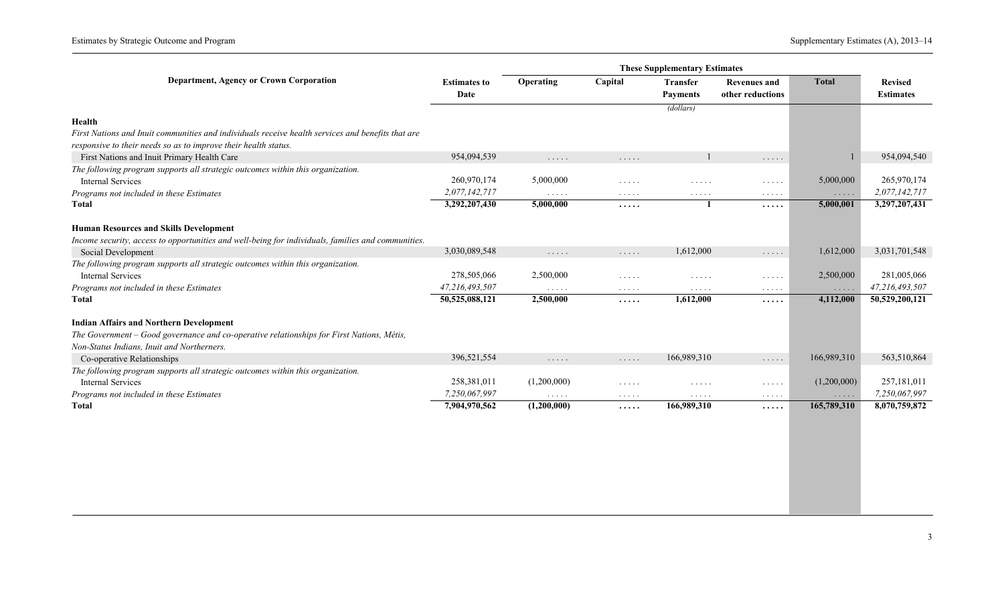Estimates by Strategic Outcome and Program Supplementary Estimates (A), 2013-14

|                                                                                                    |                             |                                    |                                                                       | <b>These Supplementary Estimates</b>      |                                                  |                      |                                    |
|----------------------------------------------------------------------------------------------------|-----------------------------|------------------------------------|-----------------------------------------------------------------------|-------------------------------------------|--------------------------------------------------|----------------------|------------------------------------|
| Department, Agency or Crown Corporation                                                            | <b>Estimates to</b><br>Date | Operating                          | Capital                                                               | Transfer<br><b>Payments</b>               | <b>Revenues and</b><br>other reductions          | <b>Total</b>         | <b>Revised</b><br><b>Estimates</b> |
|                                                                                                    |                             |                                    |                                                                       | (dollars)                                 |                                                  |                      |                                    |
| Health                                                                                             |                             |                                    |                                                                       |                                           |                                                  |                      |                                    |
| First Nations and Inuit communities and individuals receive health services and benefits that are  |                             |                                    |                                                                       |                                           |                                                  |                      |                                    |
| responsive to their needs so as to improve their health status.                                    |                             |                                    |                                                                       |                                           |                                                  |                      |                                    |
| First Nations and Inuit Primary Health Care                                                        | 954,094,539                 | $\sim$ $\sim$ $\sim$ $\sim$ $\sim$ | $\cdots$                                                              |                                           | $\cdots$                                         |                      | 954,094,540                        |
| The following program supports all strategic outcomes within this organization.                    |                             |                                    |                                                                       |                                           |                                                  |                      |                                    |
| <b>Internal Services</b>                                                                           | 260,970,174                 | 5,000,000                          | $\mathbb{Z}^2$ . $\mathbb{Z}^2$ , $\mathbb{Z}^2$                      | $\sim$ $\sim$ $\sim$ $\sim$ $\sim$        | $\mathbb{Z}^2$ . In the $\mathbb{Z}^2$           | 5,000,000            | 265,970,174                        |
| Programs not included in these Estimates                                                           | 2,077,142,717               | $\sim$ $\sim$ $\sim$ $\sim$ $\sim$ | $\sim$ $\sim$ $\sim$ $\sim$ $\sim$                                    | $\sim$ $\sim$ $\sim$ $\sim$ $\sim$        | $\sim$ $\sim$ $\sim$ $\sim$ $\sim$               | $\cdots\cdots\cdots$ | 2,077,142,717                      |
| <b>Total</b>                                                                                       | 3,292,207,430               | 5,000,000                          | $\cdots$                                                              |                                           | .                                                | 5,000,001            | 3,297,207,431                      |
| <b>Human Resources and Skills Development</b>                                                      |                             |                                    |                                                                       |                                           |                                                  |                      |                                    |
| Income security, access to opportunities and well-being for individuals, families and communities. |                             |                                    |                                                                       |                                           |                                                  |                      |                                    |
| Social Development                                                                                 | 3,030,089,548               | $\cdots$                           | $\cdots$                                                              | 1,612,000                                 | .                                                | 1,612,000            | 3,031,701,548                      |
| The following program supports all strategic outcomes within this organization.                    |                             |                                    |                                                                       |                                           |                                                  |                      |                                    |
| <b>Internal Services</b>                                                                           | 278,505,066                 | 2,500,000                          | $\sim$ $\sim$ $\sim$ $\sim$ $\sim$                                    | $\cdot$                                   | $\mathbb{Z}^2$ . $\mathbb{Z}^2$ , $\mathbb{Z}^2$ | 2,500,000            | 281,005,066                        |
| Programs not included in these Estimates                                                           | 47,216,493,507              | $\sim$ $\sim$ $\sim$ $\sim$ $\sim$ | $\sim$ $\sim$ $\sim$ $\sim$ $\sim$                                    | $\sim$ $\sim$ $\sim$ $\sim$ $\sim$        | $\sim$ $\sim$ $\sim$ $\sim$ $\sim$               | $\cdots \cdots$      | 47,216,493,507                     |
| <b>Total</b>                                                                                       | 50,525,088,121              | 2,500,000                          | .                                                                     | 1,612,000                                 | .                                                | 4,112,000            | 50,529,200,121                     |
|                                                                                                    |                             |                                    |                                                                       |                                           |                                                  |                      |                                    |
| <b>Indian Affairs and Northern Development</b>                                                     |                             |                                    |                                                                       |                                           |                                                  |                      |                                    |
| The Government - Good governance and co-operative relationships for First Nations, Métis,          |                             |                                    |                                                                       |                                           |                                                  |                      |                                    |
| Non-Status Indians, Inuit and Northerners.                                                         |                             |                                    |                                                                       |                                           |                                                  |                      |                                    |
| Co-operative Relationships                                                                         | 396,521,554                 | $\cdots\cdots$                     | $\cdots$                                                              | 166,989,310                               | $\ldots$                                         | 166,989,310          | 563,510,864                        |
| The following program supports all strategic outcomes within this organization.                    |                             |                                    |                                                                       |                                           |                                                  |                      |                                    |
| <b>Internal Services</b>                                                                           | 258,381,011                 | (1,200,000)                        | $\mathcal{L} \left( \mathcal{L} \left( \mathcal{L} \right) \right)$ . | $\sim$ $\sim$ $\sim$ $\sim$ $\sim$        | $\mathbb{Z}^2$ . In the $\mathbb{Z}^2$           | (1,200,000)          | 257,181,011                        |
| Programs not included in these Estimates                                                           | 7,250,067,997               | $\sim$ $\sim$ $\sim$ $\sim$ $\sim$ | $\alpha$ , $\alpha$ , $\alpha$ , $\alpha$                             | $\alpha$ , $\alpha$ , $\alpha$ , $\alpha$ | $\sim$ $\sim$ $\sim$ $\sim$ $\sim$               | $\ldots$ . $\ldots$  | 7,250,067,997                      |
| <b>Total</b>                                                                                       | 7,904,970,562               | (1,200,000)                        | .                                                                     | 166,989,310                               | .                                                | 165,789,310          | 8,070,759,872                      |
|                                                                                                    |                             |                                    |                                                                       |                                           |                                                  |                      |                                    |
|                                                                                                    |                             |                                    |                                                                       |                                           |                                                  |                      |                                    |
|                                                                                                    |                             |                                    |                                                                       |                                           |                                                  |                      |                                    |
|                                                                                                    |                             |                                    |                                                                       |                                           |                                                  |                      |                                    |
|                                                                                                    |                             |                                    |                                                                       |                                           |                                                  |                      |                                    |
|                                                                                                    |                             |                                    |                                                                       |                                           |                                                  |                      |                                    |
|                                                                                                    |                             |                                    |                                                                       |                                           |                                                  |                      |                                    |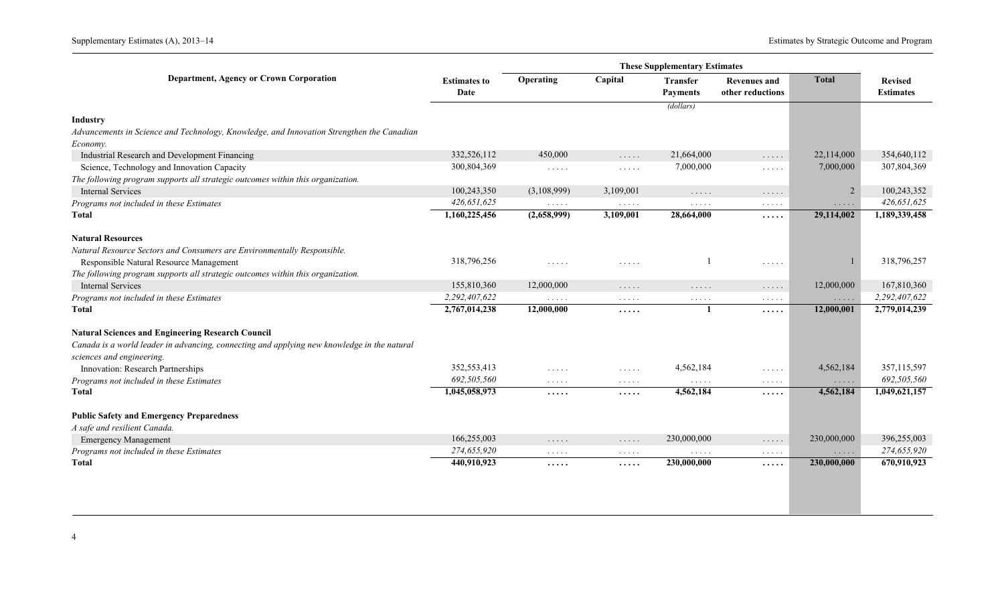|                                                                                             |                             |                                                    |                                                     | <b>These Supplementary Estimates</b>                                        |                                                             |                                                               |                                    |
|---------------------------------------------------------------------------------------------|-----------------------------|----------------------------------------------------|-----------------------------------------------------|-----------------------------------------------------------------------------|-------------------------------------------------------------|---------------------------------------------------------------|------------------------------------|
| Department, Agency or Crown Corporation                                                     | <b>Estimates to</b><br>Date | Operating                                          | Capital                                             | <b>Transfer</b><br><b>Payments</b>                                          | <b>Revenues and</b><br>other reductions                     | <b>Total</b>                                                  | <b>Revised</b><br><b>Estimates</b> |
|                                                                                             |                             |                                                    |                                                     | (dollars)                                                                   |                                                             |                                                               |                                    |
| Industry                                                                                    |                             |                                                    |                                                     |                                                                             |                                                             |                                                               |                                    |
| Advancements in Science and Technology, Knowledge, and Innovation Strengthen the Canadian   |                             |                                                    |                                                     |                                                                             |                                                             |                                                               |                                    |
| Economy.                                                                                    |                             |                                                    |                                                     |                                                                             |                                                             |                                                               |                                    |
| Industrial Research and Development Financing                                               | 332,526,112                 | 450,000                                            | $\mathcal{L} \times \mathcal{L} \times \mathcal{L}$ | 21,664,000                                                                  | $\ldots$                                                    | 22,114,000                                                    | 354,640,112                        |
| Science, Technology and Innovation Capacity                                                 | 300,804,369                 | $\mathbb{Z}^2$ . In the $\mathbb{Z}^2$             | $\sim$ $\sim$ $\sim$ $\sim$ $\sim$                  | 7,000,000                                                                   | $\ldots$                                                    | 7,000,000                                                     | 307,804,369                        |
| The following program supports all strategic outcomes within this organization.             |                             |                                                    |                                                     |                                                                             |                                                             |                                                               |                                    |
| <b>Internal Services</b>                                                                    | 100,243,350                 | (3,108,999)                                        | 3,109,001                                           | $\sim$ $\sim$ $\sim$ $\sim$ $\sim$                                          | $\ldots$                                                    |                                                               | 100,243,352                        |
| Programs not included in these Estimates                                                    | 426,651,625                 | $\mathbf{1}$ , and $\mathbf{1}$ , and $\mathbf{1}$ | $\alpha$ , $\alpha$ , $\alpha$ , $\alpha$           | $\cdots$                                                                    | $\mathbf{1}$ , and $\mathbf{1}$ , and $\mathbf{1}$          | $\cdots$                                                      | 426,651,625                        |
| Total                                                                                       | 1,160,225,456               | (2,658,999)                                        | 3,109,001                                           | 28,664,000                                                                  | .                                                           | 29,114,002                                                    | 1,189,339,458                      |
| <b>Natural Resources</b>                                                                    |                             |                                                    |                                                     |                                                                             |                                                             |                                                               |                                    |
| Natural Resource Sectors and Consumers are Environmentally Responsible.                     |                             |                                                    |                                                     |                                                                             |                                                             |                                                               |                                    |
| Responsible Natural Resource Management                                                     | 318,796,256                 | $\sim$ $\sim$ $\sim$ $\sim$ $\sim$                 | $\sim$ $\sim$ $\sim$ $\sim$ $\sim$                  |                                                                             | $\cdots$                                                    |                                                               | 318,796,257                        |
| The following program supports all strategic outcomes within this organization.             |                             |                                                    |                                                     |                                                                             |                                                             |                                                               |                                    |
| <b>Internal Services</b>                                                                    | 155,810,360                 | 12,000,000                                         | $\cdots\cdots\cdots$                                | $\cdots\cdots$                                                              | $\cdots\cdots$                                              | 12,000,000                                                    | 167,810,360                        |
| Programs not included in these Estimates                                                    | 2,292,407,622               | $\alpha$                                           | $\ldots$                                            | $\mathbb{Z}^2$ . In the $\mathbb{Z}^2$                                      | $\ldots$                                                    | $\cdots$                                                      | 2,292,407,622                      |
| Total                                                                                       | 2,767,014,238               | 12,000,000                                         | $\cdots$                                            | $\mathbf{1}$                                                                | .                                                           | 12,000,001                                                    | 2,779,014,239                      |
|                                                                                             |                             |                                                    |                                                     |                                                                             |                                                             |                                                               |                                    |
| <b>Natural Sciences and Engineering Research Council</b>                                    |                             |                                                    |                                                     |                                                                             |                                                             |                                                               |                                    |
| Canada is a world leader in advancing, connecting and applying new knowledge in the natural |                             |                                                    |                                                     |                                                                             |                                                             |                                                               |                                    |
| sciences and engineering.                                                                   |                             |                                                    |                                                     |                                                                             |                                                             |                                                               |                                    |
| Innovation: Research Partnerships                                                           | 352,553,413                 | 1.1.1.1                                            | $\ldots$                                            | 4,562,184                                                                   | $\mathbb{R}^n$ . In the $\mathbb{R}^n$                      | 4,562,184                                                     | 357,115,597                        |
| Programs not included in these Estimates                                                    | 692,505,560                 | $\mathcal{A}$ . As a set of $\mathcal{A}$          | $\alpha$ , $\alpha$ , $\alpha$ , $\alpha$           | $\mathcal{L}(\mathcal{L}(\mathcal{L},\mathcal{L},\mathcal{L},\mathcal{L}))$ | $\mathcal{L}(\mathcal{A})$ , and $\mathcal{A}(\mathcal{A})$ | $\mathbb{Z}^2$ . $\mathbb{Z}^2$ , $\mathbb{Z}^2$              | 692,505,560                        |
| <b>Total</b>                                                                                | 1,045,058,973               | .                                                  | .                                                   | 4,562,184                                                                   | .                                                           | 4,562,184                                                     | 1,049,621,157                      |
| <b>Public Safety and Emergency Preparedness</b>                                             |                             |                                                    |                                                     |                                                                             |                                                             |                                                               |                                    |
| A safe and resilient Canada.                                                                |                             |                                                    |                                                     |                                                                             |                                                             |                                                               |                                    |
| <b>Emergency Management</b>                                                                 | 166,255,003                 | $\sim$ $\sim$ $\sim$ $\sim$ $\sim$                 | $\sim$ $\sim$ $\sim$ $\sim$ $\sim$                  | 230,000,000                                                                 | $\ldots$                                                    | 230,000,000                                                   | 396,255,003                        |
| Programs not included in these Estimates                                                    | 274,655,920                 | $\sim$ $\sim$ $\sim$ $\sim$ $\sim$                 | $\sim$ $\sim$ $\sim$ $\sim$ $\sim$                  | $\mathbb{Z}^n$ . $\mathbb{Z}^n$ , $\mathbb{Z}^n$                            | $\sim$ $\sim$ $\sim$ $\sim$ $\sim$                          | $\mathcal{L} \rightarrow \mathcal{L} \rightarrow \mathcal{L}$ | 274,655,920                        |
| Total                                                                                       | 440,910,923                 | .                                                  | .                                                   | 230,000,000                                                                 | .                                                           | 230,000,000                                                   | 670,910,923                        |
|                                                                                             |                             |                                                    |                                                     |                                                                             |                                                             |                                                               |                                    |
|                                                                                             |                             |                                                    |                                                     |                                                                             |                                                             |                                                               |                                    |
|                                                                                             |                             |                                                    |                                                     |                                                                             |                                                             |                                                               |                                    |
|                                                                                             |                             |                                                    |                                                     |                                                                             |                                                             |                                                               |                                    |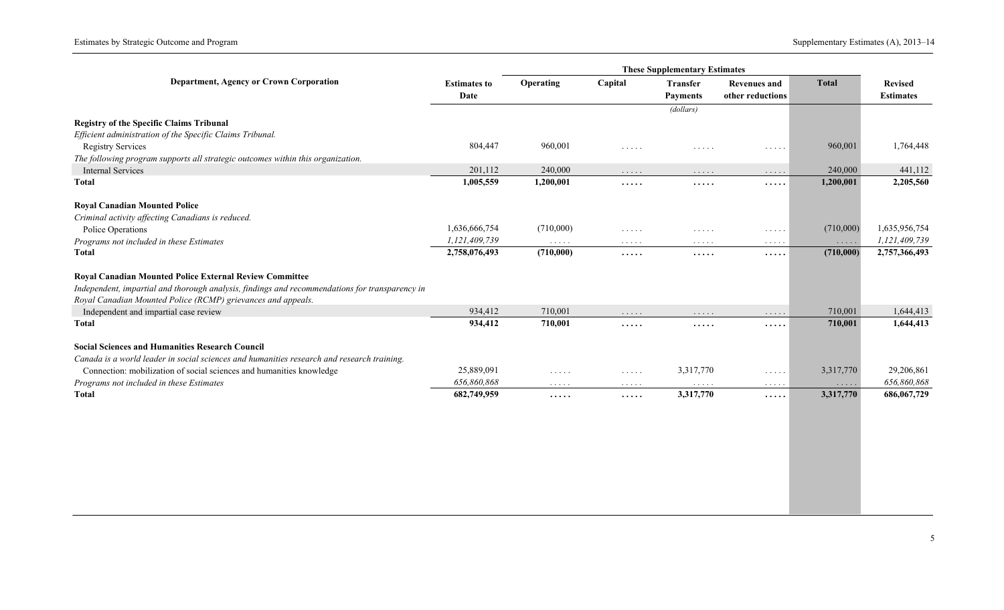|                                                                                                |                             |                                    |                                    | <b>These Supplementary Estimates</b> |                                           |                                                  |                                    |
|------------------------------------------------------------------------------------------------|-----------------------------|------------------------------------|------------------------------------|--------------------------------------|-------------------------------------------|--------------------------------------------------|------------------------------------|
| <b>Department, Agency or Crown Corporation</b>                                                 | <b>Estimates to</b><br>Date | Operating                          | Capital                            | Transfer<br><b>Payments</b>          | <b>Revenues and</b><br>other reductions   | <b>Total</b>                                     | <b>Revised</b><br><b>Estimates</b> |
|                                                                                                |                             |                                    |                                    | (dollars)                            |                                           |                                                  |                                    |
| <b>Registry of the Specific Claims Tribunal</b>                                                |                             |                                    |                                    |                                      |                                           |                                                  |                                    |
| Efficient administration of the Specific Claims Tribunal.                                      |                             |                                    |                                    |                                      |                                           |                                                  |                                    |
| <b>Registry Services</b>                                                                       | 804,447                     | 960,001                            | $\cdots$                           | .                                    | $\sim$ $\sim$ $\sim$ $\sim$ $\sim$        | 960,001                                          | 1,764,448                          |
| The following program supports all strategic outcomes within this organization.                |                             |                                    |                                    |                                      |                                           |                                                  |                                    |
| <b>Internal Services</b>                                                                       | 201,112                     | 240,000                            | .                                  | $\ldots$                             | $\ldots$                                  | 240,000                                          | 441,112                            |
| <b>Total</b>                                                                                   | 1,005,559                   | 1,200,001                          | .                                  | .                                    | .                                         | 1,200,001                                        | 2,205,560                          |
| <b>Royal Canadian Mounted Police</b>                                                           |                             |                                    |                                    |                                      |                                           |                                                  |                                    |
| Criminal activity affecting Canadians is reduced.                                              |                             |                                    |                                    |                                      |                                           |                                                  |                                    |
| Police Operations                                                                              | 1,636,666,754               | (710,000)                          | $\ldots$                           | $\dots$                              | $\cdots$                                  | (710,000)                                        | 1,635,956,754                      |
| Programs not included in these Estimates                                                       | 1,121,409,739               | $\sim$ $\sim$ $\sim$ $\sim$ $\sim$ | $\sim$ $\sim$ $\sim$ $\sim$ $\sim$ | $\ldots$                             | $\alpha$ , $\alpha$ , $\alpha$ , $\alpha$ | $\sim$ $\sim$ $\sim$ $\sim$ $\sim$               | 1,121,409,739                      |
| <b>Total</b>                                                                                   | 2,758,076,493               | (710,000)                          | .                                  | $\cdots$                             | .                                         | (710,000)                                        | 2,757,366,493                      |
| Royal Canadian Mounted Police External Review Committee                                        |                             |                                    |                                    |                                      |                                           |                                                  |                                    |
| Independent, impartial and thorough analysis, findings and recommendations for transparency in |                             |                                    |                                    |                                      |                                           |                                                  |                                    |
| Royal Canadian Mounted Police (RCMP) grievances and appeals.                                   |                             |                                    |                                    |                                      |                                           |                                                  |                                    |
| Independent and impartial case review                                                          | 934,412                     | 710,001                            | $\cdots$                           | $\ldots$                             | $\ldots$                                  | 710,001                                          | 1,644,413                          |
| <b>Total</b>                                                                                   | 934,412                     | 710,001                            | .                                  | .                                    | .                                         | 710,001                                          | 1,644,413                          |
| <b>Social Sciences and Humanities Research Council</b>                                         |                             |                                    |                                    |                                      |                                           |                                                  |                                    |
| Canada is a world leader in social sciences and humanities research and research training.     |                             |                                    |                                    |                                      |                                           |                                                  |                                    |
| Connection: mobilization of social sciences and humanities knowledge                           | 25,889,091                  | $\ldots$                           | $\ldots$                           | 3,317,770                            | $\ldots$                                  | 3,317,770                                        | 29,206,861                         |
| Programs not included in these Estimates                                                       | 656,860,868                 | $\sim$ $\sim$ $\sim$ $\sim$ $\sim$ | $\sim$ $\sim$ $\sim$ $\sim$ $\sim$ | $\sim$ $\sim$ $\sim$ $\sim$ $\sim$   | $\alpha$ , $\alpha$ , $\alpha$ , $\alpha$ | $\mathbb{Z}^2$ . $\mathbb{Z}^2$ , $\mathbb{Z}^2$ | 656,860,868                        |
| <b>Total</b>                                                                                   | 682,749,959                 | .                                  | $\cdots$ .                         | 3,317,770                            | .                                         | 3,317,770                                        | 686,067,729                        |
|                                                                                                |                             |                                    |                                    |                                      |                                           |                                                  |                                    |
|                                                                                                |                             |                                    |                                    |                                      |                                           |                                                  |                                    |
|                                                                                                |                             |                                    |                                    |                                      |                                           |                                                  |                                    |
|                                                                                                |                             |                                    |                                    |                                      |                                           |                                                  |                                    |
|                                                                                                |                             |                                    |                                    |                                      |                                           |                                                  |                                    |
|                                                                                                |                             |                                    |                                    |                                      |                                           |                                                  |                                    |
|                                                                                                |                             |                                    |                                    |                                      |                                           |                                                  |                                    |
|                                                                                                |                             |                                    |                                    |                                      |                                           |                                                  |                                    |